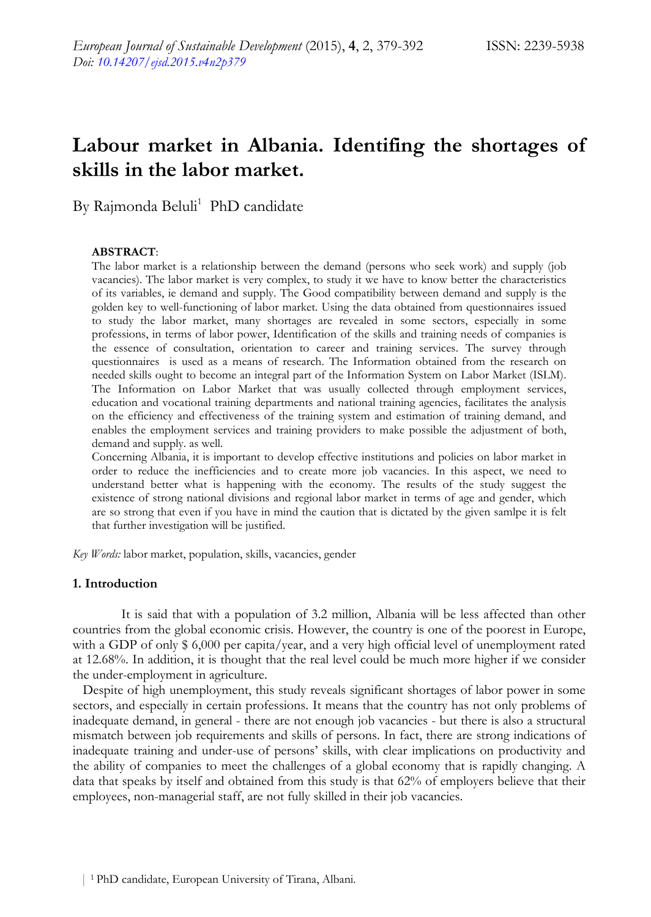# **Labour market in Albania. Identifing the shortages of skills in the labor market.**

By Rajmonda Beluli<sup>1</sup> PhD candidate

#### **ABSTRACT**:

The labor market is a relationship between the demand (persons who seek work) and supply (job vacancies). The labor market is very complex, to study it we have to know better the characteristics of its variables, ie demand and supply. The Good compatibility between demand and supply is the golden key to well-functioning of labor market. Using the data obtained from questionnaires issued to study the labor market, many shortages are revealed in some sectors, especially in some professions, in terms of labor power, Identification of the skills and training needs of companies is the essence of consultation, orientation to career and training services. The survey through questionnaires is used as a means of research. The Information obtained from the research on needed skills ought to become an integral part of the Information System on Labor Market (ISLM). The Information on Labor Market that was usually collected through employment services, education and vocational training departments and national training agencies, facilitates the analysis on the efficiency and effectiveness of the training system and estimation of training demand, and enables the employment services and training providers to make possible the adjustment of both, demand and supply. as well.

Concerning Albania, it is important to develop effective institutions and policies on labor market in order to reduce the inefficiencies and to create more job vacancies. In this aspect, we need to understand better what is happening with the economy. The results of the study suggest the existence of strong national divisions and regional labor market in terms of age and gender, which are so strong that even if you have in mind the caution that is dictated by the given samlpe it is felt that further investigation will be justified.

*Key Words:* labor market, population, skills, vacancies, gender

# **1. Introduction**

It is said that with a population of 3.2 million, Albania will be less affected than other countries from the global economic crisis. However, the country is one of the poorest in Europe, with a GDP of only \$ 6,000 per capita/year, and a very high official level of unemployment rated at 12.68%. In addition, it is thought that the real level could be much more higher if we consider the under-employment in agriculture.

 Despite of high unemployment, this study reveals significant shortages of labor power in some sectors, and especially in certain professions. It means that the country has not only problems of inadequate demand, in general - there are not enough job vacancies - but there is also a structural mismatch between job requirements and skills of persons. In fact, there are strong indications of inadequate training and under-use of persons' skills, with clear implications on productivity and the ability of companies to meet the challenges of a global economy that is rapidly changing. A data that speaks by itself and obtained from this study is that 62% of employers believe that their employees, non-managerial staff, are not fully skilled in their job vacancies.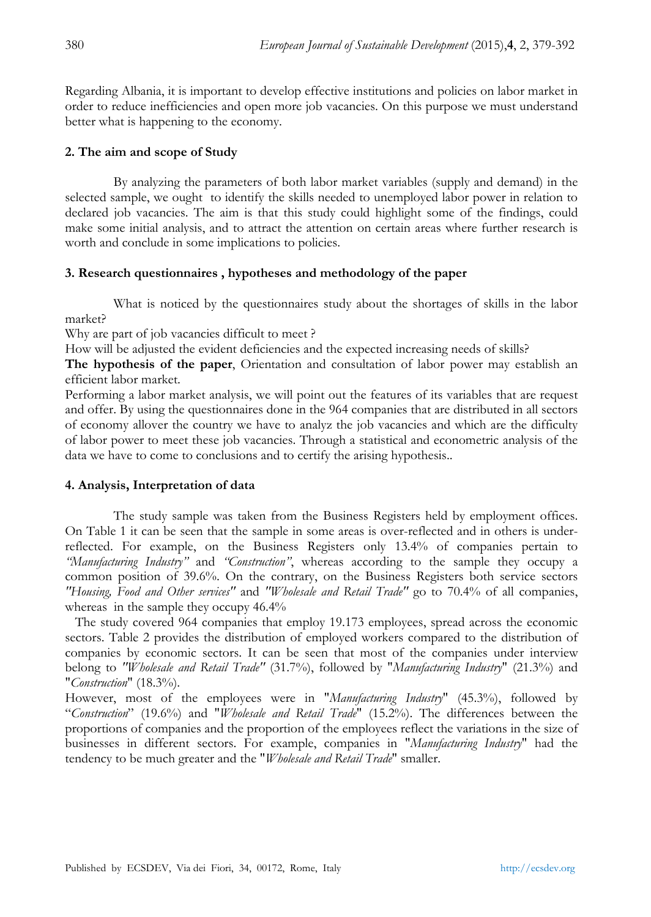Regarding Albania, it is important to develop effective institutions and policies on labor market in order to reduce inefficiencies and open more job vacancies. On this purpose we must understand better what is happening to the economy.

# **2. The aim and scope of Study**

By analyzing the parameters of both labor market variables (supply and demand) in the selected sample, we ought to identify the skills needed to unemployed labor power in relation to declared job vacancies. The aim is that this study could highlight some of the findings, could make some initial analysis, and to attract the attention on certain areas where further research is worth and conclude in some implications to policies.

# **3. Research questionnaires , hypotheses and methodology of the paper**

What is noticed by the questionnaires study about the shortages of skills in the labor market?

Why are part of job vacancies difficult to meet?

How will be adjusted the evident deficiencies and the expected increasing needs of skills?

**The hypothesis of the paper**, Orientation and consultation of labor power may establish an efficient labor market.

Performing a labor market analysis, we will point out the features of its variables that are request and offer. By using the questionnaires done in the 964 companies that are distributed in all sectors of economy allover the country we have to analyz the job vacancies and which are the difficulty of labor power to meet these job vacancies. Through a statistical and econometric analysis of the data we have to come to conclusions and to certify the arising hypothesis..

# **4. Analysis, Interpretation of data**

The study sample was taken from the Business Registers held by employment offices. On Table 1 it can be seen that the sample in some areas is over-reflected and in others is underreflected. For example, on the Business Registers only 13.4% of companies pertain to *"Manufacturing Industry"* and *"Construction"*, whereas according to the sample they occupy a common position of 39.6%. On the contrary, on the Business Registers both service sectors *"Housing, Food and Other services"* and *"Wholesale and Retail Trade"* go to 70.4% of all companies, whereas in the sample they occupy  $46.4\%$ 

 The study covered 964 companies that employ 19.173 employees, spread across the economic sectors. Table 2 provides the distribution of employed workers compared to the distribution of companies by economic sectors. It can be seen that most of the companies under interview belong to *"Wholesale and Retail Trade"* (31.7%), followed by "*Manufacturing Industry*" (21.3%) and "*Construction*" (18.3%).

However, most of the employees were in "*Manufacturing Industry*" (45.3%), followed by "*Construction*" (19.6%) and "*Wholesale and Retail Trade*" (15.2%). The differences between the proportions of companies and the proportion of the employees reflect the variations in the size of businesses in different sectors. For example, companies in "*Manufacturing Industry*" had the tendency to be much greater and the "*Wholesale and Retail Trade*" smaller.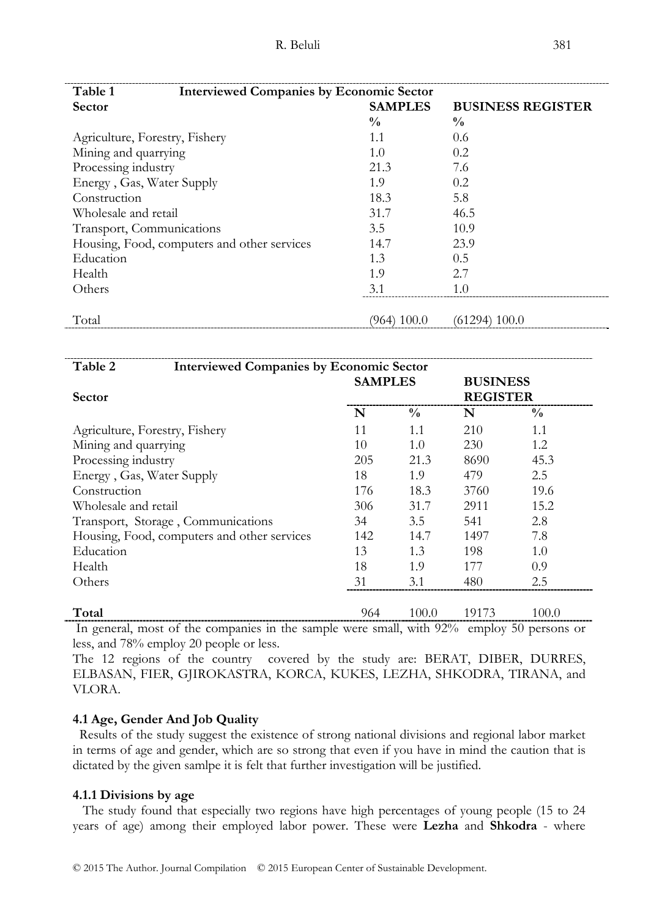| Table 1<br><b>Interviewed Companies by Economic Sector</b> |                |                          |  |  |  |  |
|------------------------------------------------------------|----------------|--------------------------|--|--|--|--|
| <b>Sector</b>                                              | <b>SAMPLES</b> | <b>BUSINESS REGISTER</b> |  |  |  |  |
|                                                            | $\frac{0}{0}$  | $\frac{0}{0}$            |  |  |  |  |
| Agriculture, Forestry, Fishery                             | 1.1            | 0.6                      |  |  |  |  |
| Mining and quarrying                                       | 1.0            | 0.2                      |  |  |  |  |
| Processing industry                                        | 21.3           | 7.6                      |  |  |  |  |
| Energy, Gas, Water Supply                                  | 1.9            | 0.2                      |  |  |  |  |
| Construction                                               | 18.3           | 5.8                      |  |  |  |  |
| Wholesale and retail                                       | 31.7           | 46.5                     |  |  |  |  |
| Transport, Communications                                  | 3.5            | 10.9                     |  |  |  |  |
| Housing, Food, computers and other services                | 14.7           | 23.9                     |  |  |  |  |
| Education                                                  | 1.3            | 0.5                      |  |  |  |  |
| Health                                                     | 1.9            | 2.7                      |  |  |  |  |
| Others                                                     | 3.1            | 1.0                      |  |  |  |  |
|                                                            |                |                          |  |  |  |  |
| Total                                                      | (964) 100.0    | (61294) 100.0            |  |  |  |  |

| <b>Interviewed Companies by Economic Sector</b><br>Table 2 |                |               |                 |               |  |
|------------------------------------------------------------|----------------|---------------|-----------------|---------------|--|
|                                                            | <b>SAMPLES</b> |               | <b>BUSINESS</b> |               |  |
| <b>Sector</b>                                              |                |               | <b>REGISTER</b> |               |  |
|                                                            | N              | $\frac{0}{0}$ | N               | $\frac{0}{0}$ |  |
| Agriculture, Forestry, Fishery                             | 11             | 1.1           | 210             | 1.1           |  |
| Mining and quarrying                                       | 10             | 1.0           | 230             | 1.2           |  |
| Processing industry                                        | 205            | 21.3          | 8690            | 45.3          |  |
| Energy, Gas, Water Supply                                  | 18             | 1.9           | 479             | 2.5           |  |
| Construction                                               | 176            | 18.3          | 3760            | 19.6          |  |
| Wholesale and retail                                       | 306            | 31.7          | 2911            | 15.2          |  |
| Transport, Storage, Communications                         | 34             | 3.5           | 541             | 2.8           |  |
| Housing, Food, computers and other services                | 142            | 14.7          | 1497            | 7.8           |  |
| Education                                                  | 13             | 1.3           | 198             | 1.0           |  |
| Health                                                     | 18             | 1.9           | 177             | 0.9           |  |
| Others                                                     | 31             | 3.1           | 480             | 2.5           |  |
|                                                            |                |               |                 |               |  |
| Total                                                      | 964            | 100.0         | 19173           | 100.0         |  |

 In general, most of the companies in the sample were small, with 92% employ 50 persons or less, and 78% employ 20 people or less.

The 12 regions of the country covered by the study are: BERAT, DIBER, DURRES, ELBASAN, FIER, GJIROKASTRA, KORCA, KUKES, LEZHA, SHKODRA, TIRANA, and VLORA.

### **4.1 Age, Gender And Job Quality**

 Results of the study suggest the existence of strong national divisions and regional labor market in terms of age and gender, which are so strong that even if you have in mind the caution that is dictated by the given samlpe it is felt that further investigation will be justified.

#### **4.1.1 Divisions by age**

 The study found that especially two regions have high percentages of young people (15 to 24 years of age) among their employed labor power. These were **Lezha** and **Shkodra** - where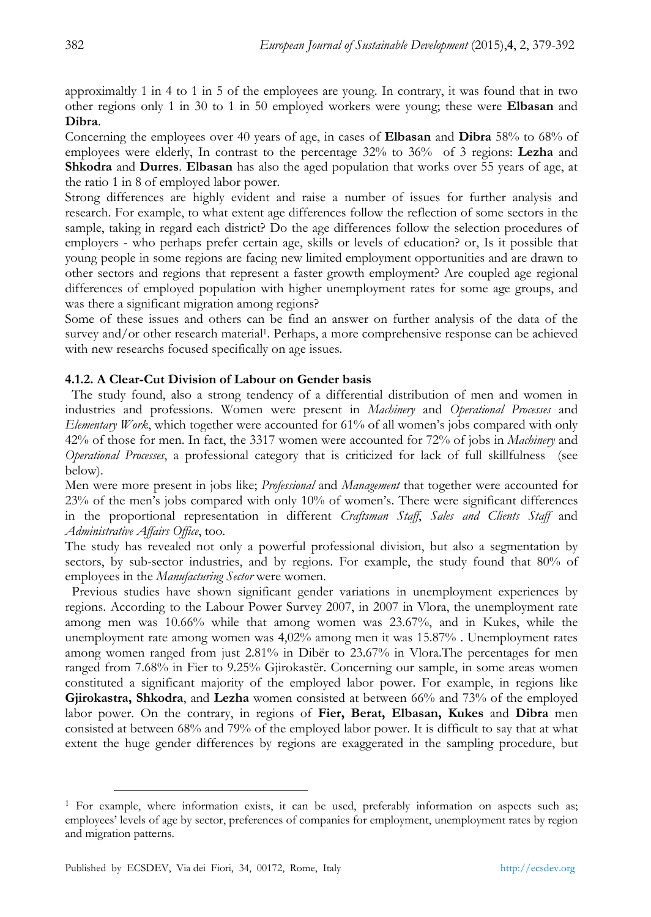approximaltly 1 in 4 to 1 in 5 of the employees are young. In contrary, it was found that in two other regions only 1 in 30 to 1 in 50 employed workers were young; these were **Elbasan** and **Dibra**.

Concerning the employees over 40 years of age, in cases of **Elbasan** and **Dibra** 58% to 68% of employees were elderly, In contrast to the percentage 32% to 36% of 3 regions: **Lezha** and **Shkodra** and **Durres**. **Elbasan** has also the aged population that works over 55 years of age, at the ratio 1 in 8 of employed labor power.

Strong differences are highly evident and raise a number of issues for further analysis and research. For example, to what extent age differences follow the reflection of some sectors in the sample, taking in regard each district? Do the age differences follow the selection procedures of employers - who perhaps prefer certain age, skills or levels of education? or, Is it possible that young people in some regions are facing new limited employment opportunities and are drawn to other sectors and regions that represent a faster growth employment? Are coupled age regional differences of employed population with higher unemployment rates for some age groups, and was there a significant migration among regions?

Some of these issues and others can be find an answer on further analysis of the data of the survey and/or other research material<sup>1</sup>. Perhaps, a more comprehensive response can be achieved with new researchs focused specifically on age issues.

# **4.1.2. A Clear-Cut Division of Labour on Gender basis**

 The study found, also a strong tendency of a differential distribution of men and women in industries and professions. Women were present in *Machinery* and *Operational Processes* and *Elementary Work*, which together were accounted for 61% of all women's jobs compared with only 42% of those for men. In fact, the 3317 women were accounted for 72% of jobs in *Machinery* and *Operational Processes*, a professional category that is criticized for lack of full skillfulness (see below).

Men were more present in jobs like; *Professional* and *Management* that together were accounted for 23% of the men's jobs compared with only 10% of women's. There were significant differences in the proportional representation in different *Craftsman Staff*, *Sales and Clients Staff* and *Administrative Affairs Office*, too.

The study has revealed not only a powerful professional division, but also a segmentation by sectors, by sub-sector industries, and by regions. For example, the study found that 80% of employees in the *Manufacturing Sector* were women.

 Previous studies have shown significant gender variations in unemployment experiences by regions. According to the Labour Power Survey 2007, in 2007 in Vlora, the unemployment rate among men was 10.66% while that among women was 23.67%, and in Kukes, while the unemployment rate among women was 4,02% among men it was 15.87% . Unemployment rates among women ranged from just 2.81% in Dibër to 23.67% in Vlora.The percentages for men ranged from 7.68% in Fier to 9.25% Gjirokastër. Concerning our sample, in some areas women constituted a significant majority of the employed labor power. For example, in regions like **Gjirokastra, Shkodra**, and **Lezha** women consisted at between 66% and 73% of the employed labor power. On the contrary, in regions of **Fier, Berat, Elbasan, Kukes** and **Dibra** men consisted at between 68% and 79% of the employed labor power. It is difficult to say that at what extent the huge gender differences by regions are exaggerated in the sampling procedure, but

<sup>&</sup>lt;sup>1</sup> For example, where information exists, it can be used, preferably information on aspects such as; employees' levels of age by sector, preferences of companies for employment, unemployment rates by region and migration patterns.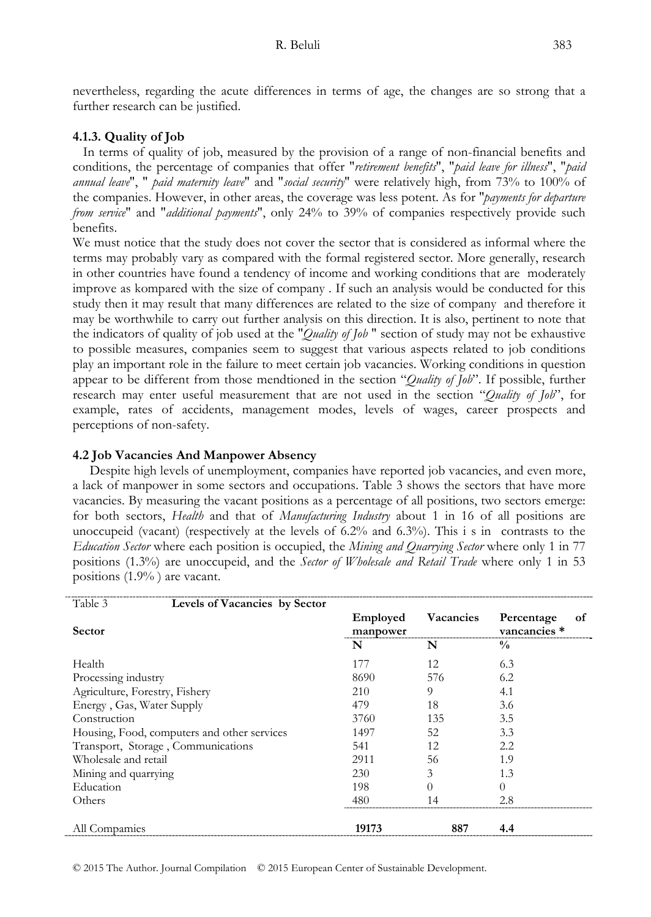nevertheless, regarding the acute differences in terms of age, the changes are so strong that a further research can be justified.

# **4.1.3. Quality of Job**

 In terms of quality of job, measured by the provision of a range of non-financial benefits and conditions, the percentage of companies that offer "*retirement benefits*", "*paid leave for illness*", "*paid annual leave*", " *paid maternity leave*" and "*social security*" were relatively high, from 73% to 100% of the companies. However, in other areas, the coverage was less potent. As for "*payments for departure from service*" and "*additional payments*", only 24% to 39% of companies respectively provide such benefits.

We must notice that the study does not cover the sector that is considered as informal where the terms may probably vary as compared with the formal registered sector. More generally, research in other countries have found a tendency of income and working conditions that are moderately improve as kompared with the size of company . If such an analysis would be conducted for this study then it may result that many differences are related to the size of company and therefore it may be worthwhile to carry out further analysis on this direction. It is also, pertinent to note that the indicators of quality of job used at the "*Quality of Job* " section of study may not be exhaustive to possible measures, companies seem to suggest that various aspects related to job conditions play an important role in the failure to meet certain job vacancies. Working conditions in question appear to be different from those mendtioned in the section "*Quality of Job*". If possible, further research may enter useful measurement that are not used in the section "*Quality of Job*", for example, rates of accidents, management modes, levels of wages, career prospects and perceptions of non-safety.

# **4.2 Job Vacancies And Manpower Absency**

 Despite high levels of unemployment, companies have reported job vacancies, and even more, a lack of manpower in some sectors and occupations. Table 3 shows the sectors that have more vacancies. By measuring the vacant positions as a percentage of all positions, two sectors emerge: for both sectors, *Health* and that of *Manufacturing Industry* about 1 in 16 of all positions are unoccupeid (vacant) (respectively at the levels of  $6.2\%$  and  $6.3\%$ ). This i s in contrasts to the *Education Sector* where each position is occupied, the *Mining and Quarrying Sector* where only 1 in 77 positions (1.3%) are unoccupeid, and the *Sector of Wholesale and Retail Trade* where only 1 in 53 positions (1.9% ) are vacant.

| Table 3<br>Levels of Vacancies by Sector    |                      |           |                                  |
|---------------------------------------------|----------------------|-----------|----------------------------------|
| <b>Sector</b>                               | Employed<br>manpower | Vacancies | Percentage<br>οf<br>vancancies * |
|                                             | N                    | N         | $\frac{0}{0}$                    |
| Health                                      | 177                  | 12        | 6.3                              |
| Processing industry                         | 8690                 | 576       | 6.2                              |
| Agriculture, Forestry, Fishery              | 210                  | 9         | 4.1                              |
| Energy, Gas, Water Supply                   | 479                  | 18        | 3.6                              |
| Construction                                | 3760                 | 135       | 3.5                              |
| Housing, Food, computers and other services | 1497                 | 52        | 3.3                              |
| Transport, Storage, Communications          | 541                  | 12        | 2.2                              |
| Wholesale and retail                        | 2911                 | 56        | 1.9                              |
| Mining and quarrying                        | 230                  | 3         | 1.3                              |
| Education                                   | 198                  | $\theta$  | $\Omega$                         |
| Others                                      | 480                  | 14        | 2.8                              |
| All Compamies                               | 19173                | 887       | 4.4                              |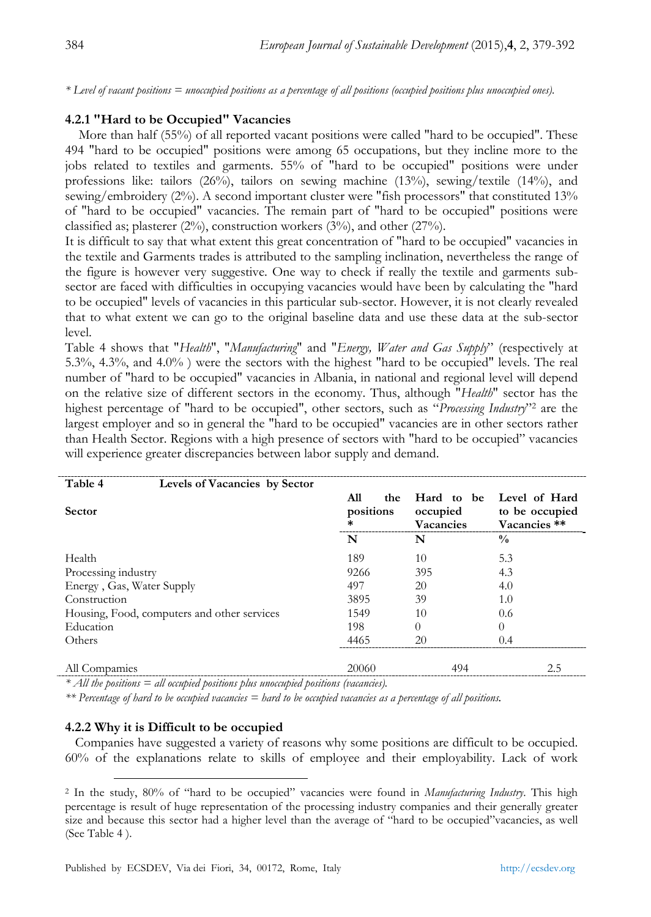*\* Level of vacant positions = unoccupied positions as a percentage of all positions (occupied positions plus unoccupied ones).* 

# **4.2.1 "Hard to be Occupied" Vacancies**

 More than half (55%) of all reported vacant positions were called "hard to be occupied". These 494 "hard to be occupied" positions were among 65 occupations, but they incline more to the jobs related to textiles and garments. 55% of "hard to be occupied" positions were under professions like: tailors (26%), tailors on sewing machine (13%), sewing/textile (14%), and sewing/embroidery (2%). A second important cluster were "fish processors" that constituted 13% of "hard to be occupied" vacancies. The remain part of "hard to be occupied" positions were classified as; plasterer  $(2\%)$ , construction workers  $(3\%)$ , and other  $(27\%)$ .

It is difficult to say that what extent this great concentration of "hard to be occupied" vacancies in the textile and Garments trades is attributed to the sampling inclination, nevertheless the range of the figure is however very suggestive. One way to check if really the textile and garments subsector are faced with difficulties in occupying vacancies would have been by calculating the "hard to be occupied" levels of vacancies in this particular sub-sector. However, it is not clearly revealed that to what extent we can go to the original baseline data and use these data at the sub-sector level.

Table 4 shows that "*Health*", "*Manufacturing*" and "*Energy, Water and Gas Supply*" (respectively at 5.3%, 4.3%, and 4.0% ) were the sectors with the highest "hard to be occupied" levels. The real number of "hard to be occupied" vacancies in Albania, in national and regional level will depend on the relative size of different sectors in the economy. Thus, although "*Health*" sector has the highest percentage of "hard to be occupied", other sectors, such as "*Processing Industry*"2 are the largest employer and so in general the "hard to be occupied" vacancies are in other sectors rather than Health Sector. Regions with a high presence of sectors with "hard to be occupied" vacancies will experience greater discrepancies between labor supply and demand.

| Table 4                   | Levels of Vacancies by Sector               |            |                  |                |  |  |
|---------------------------|---------------------------------------------|------------|------------------|----------------|--|--|
|                           |                                             | A11<br>the | Hard to be       | Level of Hard  |  |  |
| Sector                    |                                             | positions  | occupied         | to be occupied |  |  |
|                           |                                             | *          | <b>Vacancies</b> | Vacancies **   |  |  |
|                           |                                             | N          | N                | $\frac{0}{0}$  |  |  |
| Health                    |                                             | 189        | 10               | 5.3            |  |  |
| Processing industry       |                                             | 9266       | 395              | 4.3            |  |  |
| Energy, Gas, Water Supply |                                             | 497        | 20               | 4.0            |  |  |
| Construction              |                                             | 3895       | 39               | 1.0            |  |  |
|                           | Housing, Food, computers and other services | 1549       | 10               | 0.6            |  |  |
| Education                 |                                             | 198        | $\Omega$         | $\theta$       |  |  |
| Others                    |                                             | 4465       | 20               | 0.4            |  |  |
| All Compamies             |                                             | 20060      | 494              | 2.5            |  |  |

*\* All the positions = all occupied positions plus unoccupied positions (vacancies).* 

*\*\* Percentage of hard to be occupied vacancies = hard to be occupied vacancies as a percentage of all positions.* 

### **4.2.2 Why it is Difficult to be occupied**

 Companies have suggested a variety of reasons why some positions are difficult to be occupied. 60% of the explanations relate to skills of employee and their employability. Lack of work

 <sup>2</sup> In the study, 80% of "hard to be occupied" vacancies were found in *Manufacturing Industry*. This high percentage is result of huge representation of the processing industry companies and their generally greater size and because this sector had a higher level than the average of "hard to be occupied"vacancies, as well (See Table 4 ).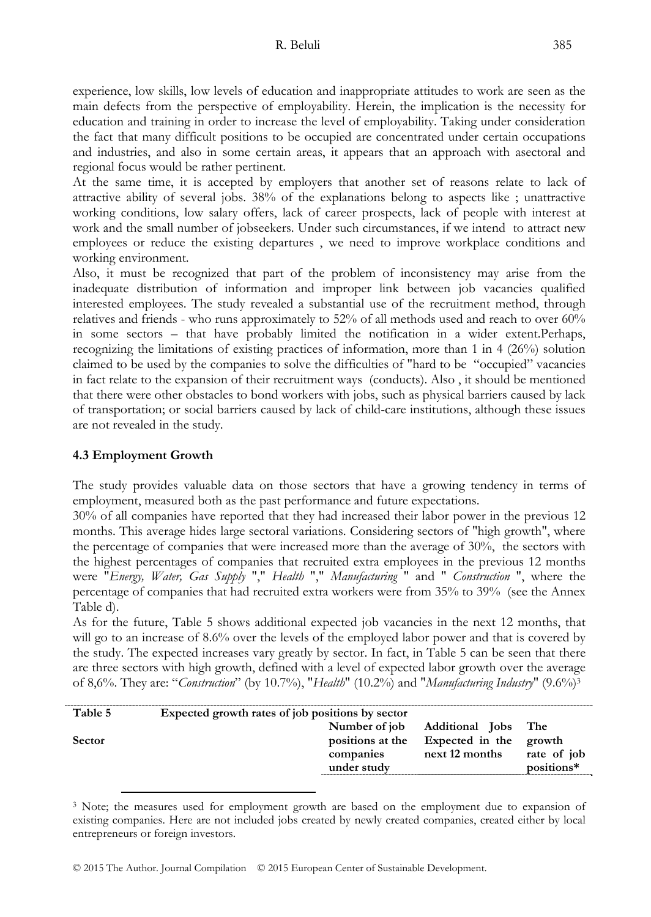experience, low skills, low levels of education and inappropriate attitudes to work are seen as the main defects from the perspective of employability. Herein, the implication is the necessity for education and training in order to increase the level of employability. Taking under consideration the fact that many difficult positions to be occupied are concentrated under certain occupations and industries, and also in some certain areas, it appears that an approach with asectoral and regional focus would be rather pertinent.

At the same time, it is accepted by employers that another set of reasons relate to lack of attractive ability of several jobs. 38% of the explanations belong to aspects like ; unattractive working conditions, low salary offers, lack of career prospects, lack of people with interest at work and the small number of jobseekers. Under such circumstances, if we intend to attract new employees or reduce the existing departures , we need to improve workplace conditions and working environment.

Also, it must be recognized that part of the problem of inconsistency may arise from the inadequate distribution of information and improper link between job vacancies qualified interested employees. The study revealed a substantial use of the recruitment method, through relatives and friends - who runs approximately to 52% of all methods used and reach to over 60% in some sectors – that have probably limited the notification in a wider extent.Perhaps, recognizing the limitations of existing practices of information, more than 1 in 4 (26%) solution claimed to be used by the companies to solve the difficulties of "hard to be "occupied" vacancies in fact relate to the expansion of their recruitment ways (conducts). Also , it should be mentioned that there were other obstacles to bond workers with jobs, such as physical barriers caused by lack of transportation; or social barriers caused by lack of child-care institutions, although these issues are not revealed in the study.

# **4.3 Employment Growth**

The study provides valuable data on those sectors that have a growing tendency in terms of employment, measured both as the past performance and future expectations.

30% of all companies have reported that they had increased their labor power in the previous 12 months. This average hides large sectoral variations. Considering sectors of "high growth", where the percentage of companies that were increased more than the average of 30%, the sectors with the highest percentages of companies that recruited extra employees in the previous 12 months were "*Energy, Water, Gas Supply* "," *Health* "," *Manufacturing* " and " *Construction* ", where the percentage of companies that had recruited extra workers were from 35% to 39% (see the Annex Table d).

As for the future, Table 5 shows additional expected job vacancies in the next 12 months, that will go to an increase of 8.6% over the levels of the employed labor power and that is covered by the study. The expected increases vary greatly by sector. In fact, in Table 5 can be seen that there are three sectors with high growth, defined with a level of expected labor growth over the average of 8,6%. They are: "*Construction*" (by 10.7%), "*Health*" (10.2%) and "*Manufacturing Industry*" (9.6%)3

| Table 5 | Expected growth rates of job positions by sector |                  |                                          |                           |  |
|---------|--------------------------------------------------|------------------|------------------------------------------|---------------------------|--|
|         |                                                  | Number of job    | <b>Additional Jobs</b>                   | The                       |  |
| Sector  | companies<br>under study                         | positions at the | Expected in the growth<br>next 12 months | rate of job<br>positions* |  |
|         |                                                  |                  |                                          |                           |  |

<sup>&</sup>lt;sup>3</sup> Note; the measures used for employment growth are based on the employment due to expansion of existing companies. Here are not included jobs created by newly created companies, created either by local entrepreneurs or foreign investors.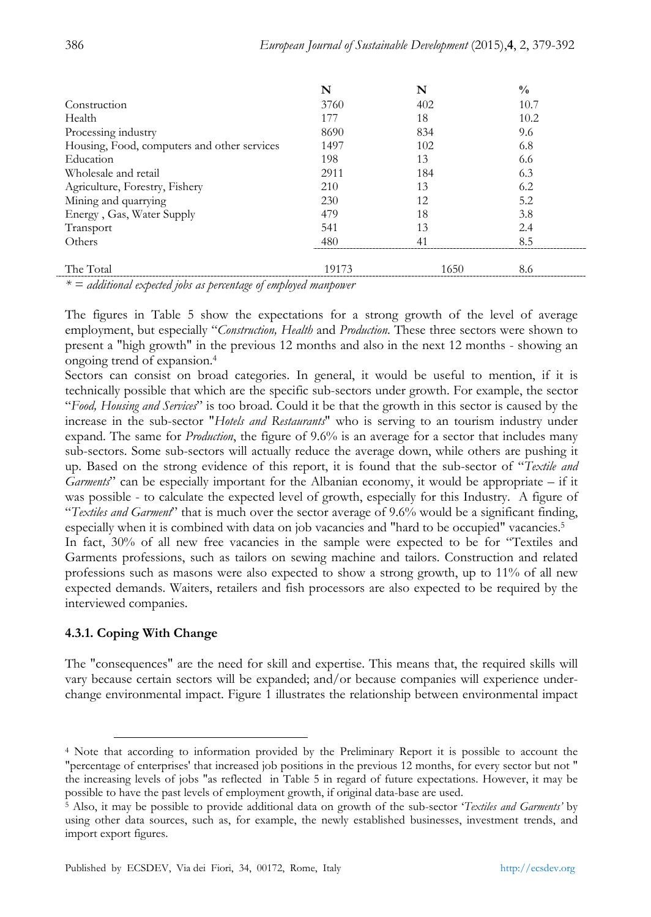|                                             | N     | N    | $\frac{0}{0}$ |
|---------------------------------------------|-------|------|---------------|
| Construction                                | 3760  | 402  | 10.7          |
| Health                                      | 177   | 18   | 10.2          |
| Processing industry                         | 8690  | 834  | 9.6           |
| Housing, Food, computers and other services | 1497  | 102  | 6.8           |
| Education                                   | 198   | 13   | 6.6           |
| Wholesale and retail                        | 2911  | 184  | 6.3           |
| Agriculture, Forestry, Fishery              | 210   | 13   | 6.2           |
| Mining and quarrying                        | 230   | 12   | 5.2           |
| Energy, Gas, Water Supply                   | 479   | 18   | 3.8           |
| Transport                                   | 541   | 13   | 2.4           |
| Others                                      | 480   | 41   | 8.5           |
|                                             |       |      |               |
| The Total                                   | 19173 | 1650 | 8.6           |

*\* = additional expected jobs as percentage of employed manpower* 

The figures in Table 5 show the expectations for a strong growth of the level of average employment, but especially "*Construction, Health* and *Production*. These three sectors were shown to present a "high growth" in the previous 12 months and also in the next 12 months - showing an ongoing trend of expansion.4

Sectors can consist on broad categories. In general, it would be useful to mention, if it is technically possible that which are the specific sub-sectors under growth. For example, the sector "*Food, Housing and Services*" is too broad. Could it be that the growth in this sector is caused by the increase in the sub-sector "*Hotels and Restaurants*" who is serving to an tourism industry under expand. The same for *Production*, the figure of 9.6% is an average for a sector that includes many sub-sectors. Some sub-sectors will actually reduce the average down, while others are pushing it up. Based on the strong evidence of this report, it is found that the sub-sector of "*Textile and Garments*" can be especially important for the Albanian economy, it would be appropriate – if it was possible - to calculate the expected level of growth, especially for this Industry. A figure of "*Textiles and Garment*" that is much over the sector average of 9.6% would be a significant finding, especially when it is combined with data on job vacancies and "hard to be occupied" vacancies.<sup>5</sup>

In fact, 30% of all new free vacancies in the sample were expected to be for "Textiles and Garments professions, such as tailors on sewing machine and tailors. Construction and related professions such as masons were also expected to show a strong growth, up to 11% of all new expected demands. Waiters, retailers and fish processors are also expected to be required by the interviewed companies.

# **4.3.1. Coping With Change**

The "consequences" are the need for skill and expertise. This means that, the required skills will vary because certain sectors will be expanded; and/or because companies will experience underchange environmental impact. Figure 1 illustrates the relationship between environmental impact

 <sup>4</sup> Note that according to information provided by the Preliminary Report it is possible to account the "percentage of enterprises' that increased job positions in the previous 12 months, for every sector but not " the increasing levels of jobs "as reflected in Table 5 in regard of future expectations. However, it may be possible to have the past levels of employment growth, if original data-base are used.

<sup>5</sup> Also, it may be possible to provide additional data on growth of the sub-sector '*Textiles and Garments'* by using other data sources, such as, for example, the newly established businesses, investment trends, and import export figures.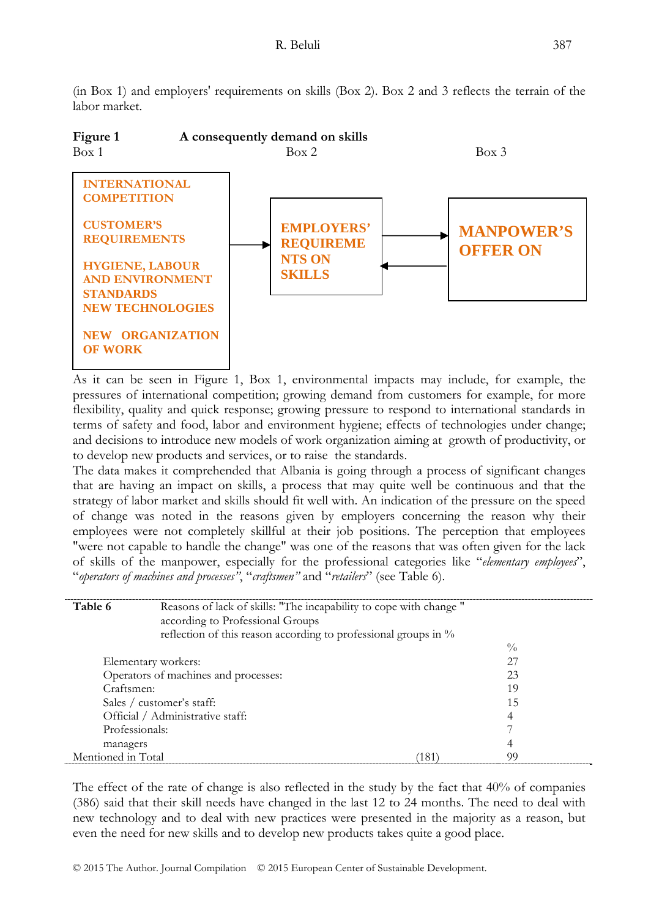(in Box 1) and employers' requirements on skills (Box 2). Box 2 and 3 reflects the terrain of the labor market.



Figure 1 **A** consequently demand on skills

As it can be seen in Figure 1, Box 1, environmental impacts may include, for example, the pressures of international competition; growing demand from customers for example, for more flexibility, quality and quick response; growing pressure to respond to international standards in terms of safety and food, labor and environment hygiene; effects of technologies under change; and decisions to introduce new models of work organization aiming at growth of productivity, or to develop new products and services, or to raise the standards.

The data makes it comprehended that Albania is going through a process of significant changes that are having an impact on skills, a process that may quite well be continuous and that the strategy of labor market and skills should fit well with. An indication of the pressure on the speed of change was noted in the reasons given by employers concerning the reason why their employees were not completely skillful at their job positions. The perception that employees "were not capable to handle the change" was one of the reasons that was often given for the lack of skills of the manpower, especially for the professional categories like "*elementary employees*", "*operators of machines and processes"*, "*craftsmen"* and "*retailers*" (see Table 6).

| Table 6             | Reasons of lack of skills: "The incapability to cope with change "<br>according to Professional Groups |     |               |  |
|---------------------|--------------------------------------------------------------------------------------------------------|-----|---------------|--|
|                     | reflection of this reason according to professional groups in $\%$                                     |     |               |  |
|                     |                                                                                                        |     | $\frac{0}{0}$ |  |
| Elementary workers: |                                                                                                        |     | 27            |  |
|                     | Operators of machines and processes:                                                                   |     | 23            |  |
| Craftsmen:          |                                                                                                        |     | 19            |  |
|                     | Sales / customer's staff:                                                                              |     | 15            |  |
|                     | Official / Administrative staff:                                                                       |     | 4             |  |
| Professionals:      |                                                                                                        |     |               |  |
| managers            |                                                                                                        |     | 4             |  |
| Mentioned in Total  |                                                                                                        | Ί81 | 99            |  |

The effect of the rate of change is also reflected in the study by the fact that 40% of companies (386) said that their skill needs have changed in the last 12 to 24 months. The need to deal with new technology and to deal with new practices were presented in the majority as a reason, but even the need for new skills and to develop new products takes quite a good place.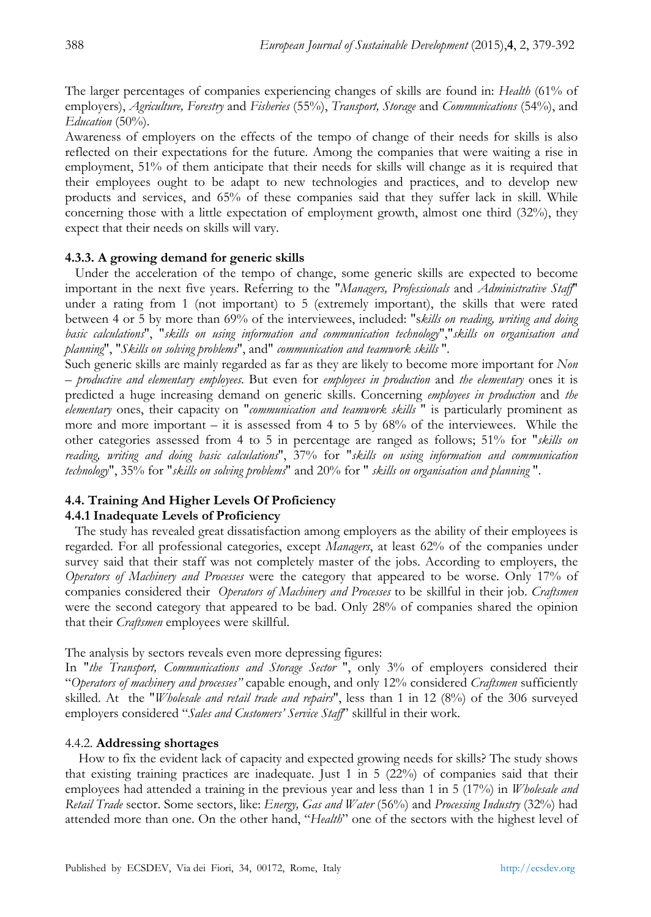The larger percentages of companies experiencing changes of skills are found in: *Health* (61% of employers), *Agriculture, Forestry* and *Fisheries* (55%), *Transport, Storage* and *Communications* (54%), and *Education* (50%).

Awareness of employers on the effects of the tempo of change of their needs for skills is also reflected on their expectations for the future. Among the companies that were waiting a rise in employment, 51% of them anticipate that their needs for skills will change as it is required that their employees ought to be adapt to new technologies and practices, and to develop new products and services, and 65% of these companies said that they suffer lack in skill. While concerning those with a little expectation of employment growth, almost one third (32%), they expect that their needs on skills will vary.

#### **4.3.3. A growing demand for generic skills**

 Under the acceleration of the tempo of change, some generic skills are expected to become important in the next five years. Referring to the "*Managers, Professionals* and *Administrative Staff*" under a rating from 1 (not important) to 5 (extremely important), the skills that were rated between 4 or 5 by more than 69% of the interviewees, included: "s*kills on reading, writing and doing basic calculations*", "*skills on using information and communication technology*","*skills on organisation and planning*", "*Skills on solving problems*", and" *communication and teamwork skills* ".

Such generic skills are mainly regarded as far as they are likely to become more important for *Non – productive and elementary employees*. But even for *employees in production* and *the elementary* ones it is predicted a huge increasing demand on generic skills. Concerning *employees in production* and *the elementary* ones, their capacity on "*communication and teamwork skills* " is particularly prominent as more and more important – it is assessed from 4 to 5 by 68% of the interviewees. While the other categories assessed from 4 to 5 in percentage are ranged as follows; 51% for "*skills on reading, writing and doing basic calculations*", 37% for "*skills on using information and communication technology*", 35% for "*skills on solving problems*" and 20% for " *skills on organisation and planning* ".

# **4.4. Training And Higher Levels Of Proficiency**

### **4.4.1 Inadequate Levels of Proficiency**

 The study has revealed great dissatisfaction among employers as the ability of their employees is regarded. For all professional categories, except *Managers*, at least 62% of the companies under survey said that their staff was not completely master of the jobs. According to employers, the *Operators of Machinery and Processes* were the category that appeared to be worse. Only 17% of companies considered their *Operators of Machinery and Processes* to be skillful in their job. *Craftsmen* were the second category that appeared to be bad. Only 28% of companies shared the opinion that their *Craftsmen* employees were skillful.

The analysis by sectors reveals even more depressing figures:

In "*the Transport, Communications and Storage Sector* ", only 3% of employers considered their "*Operators of machinery and processes"* capable enough, and only 12% considered *Craftsmen* sufficiently skilled. At the "*Wholesale and retail trade and repairs*", less than 1 in 12 (8%) of the 306 surveyed employers considered "*Sales and Customers' Service Staff*" skillful in their work.

### 4.4.2. **Addressing shortages**

 How to fix the evident lack of capacity and expected growing needs for skills? The study shows that existing training practices are inadequate. Just 1 in 5 (22%) of companies said that their employees had attended a training in the previous year and less than 1 in 5 (17%) in *Wholesale and Retail Trade* sector. Some sectors, like: *Energy, Gas and Water* (56%) and *Processing Industry* (32%) had attended more than one. On the other hand, "*Health*" one of the sectors with the highest level of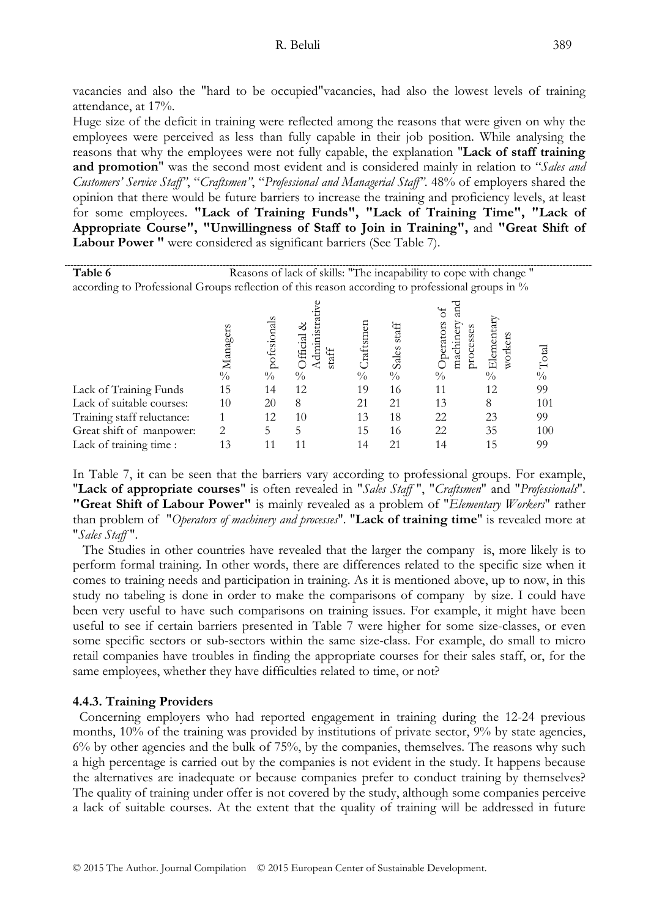vacancies and also the "hard to be occupied"vacancies, had also the lowest levels of training attendance, at 17%.

Huge size of the deficit in training were reflected among the reasons that were given on why the employees were perceived as less than fully capable in their job position. While analysing the reasons that why the employees were not fully capable, the explanation "**Lack of staff training and promotion**" was the second most evident and is considered mainly in relation to "*Sales and Customers' Service Staff"*, "*Craftsmen"*, "*Professional and Managerial Staff"*. 48% of employers shared the opinion that there would be future barriers to increase the training and proficiency levels, at least for some employees. **"Lack of Training Funds", "Lack of Training Time", "Lack of Appropriate Course", "Unwillingness of Staff to Join in Training",** and **"Great Shift of Labour Power "** were considered as significant barriers (See Table 7).

| Table 6                                                                                          |           |                          | Reasons of lack of skills: "The incapability to cope with change" |                            |                                 |                                                                |                                       |                        |
|--------------------------------------------------------------------------------------------------|-----------|--------------------------|-------------------------------------------------------------------|----------------------------|---------------------------------|----------------------------------------------------------------|---------------------------------------|------------------------|
| according to Professional Groups reflection of this reason according to professional groups in % |           |                          |                                                                   |                            |                                 |                                                                |                                       |                        |
|                                                                                                  | SManagers | <sup>S</sup> pofesionals | ళ<br>$\sqrt{8}$ Official<br>Adminis<br>taff                       | Craftsmer<br>$\frac{0}{0}$ | staff<br>Sales<br>$\frac{0}{0}$ | E<br>ă<br>Operators<br>machinery<br>processes<br>$\frac{0}{0}$ | Elementar<br>workers<br>$\frac{0}{0}$ | $\rm \mathbb{S}$ Total |
| Lack of Training Funds                                                                           | 15        | 14                       | 12                                                                | 19                         | 16                              | 11                                                             | 12                                    | 99                     |
| Lack of suitable courses:                                                                        | 10        | 20                       | 8                                                                 | 21                         | 21                              | 13                                                             | 8                                     | 101                    |
| Training staff reluctance:                                                                       |           | 12                       | 10                                                                | 13                         | 18                              | 22                                                             | 23                                    | 99                     |
| Great shift of manpower:                                                                         | 2         | 5                        | 5                                                                 | 15                         | 16                              | 22                                                             | 35                                    | 100                    |
| Lack of training time:                                                                           | 13        |                          | 11                                                                | 14                         | 21                              | 14                                                             | 15                                    | 99                     |

In Table 7, it can be seen that the barriers vary according to professional groups. For example, "**Lack of appropriate courses**" is often revealed in "*Sales Staff* ", "*Craftsmen*" and "*Professionals*". **"Great Shift of Labour Power"** is mainly revealed as a problem of "*Elementary Workers*" rather than problem of "*Operators of machinery and processes*". "**Lack of training time**" is revealed more at "*Sales Staff* ".

 The Studies in other countries have revealed that the larger the company is, more likely is to perform formal training. In other words, there are differences related to the specific size when it comes to training needs and participation in training. As it is mentioned above, up to now, in this study no tabeling is done in order to make the comparisons of company by size. I could have been very useful to have such comparisons on training issues. For example, it might have been useful to see if certain barriers presented in Table 7 were higher for some size-classes, or even some specific sectors or sub-sectors within the same size-class. For example, do small to micro retail companies have troubles in finding the appropriate courses for their sales staff, or, for the same employees, whether they have difficulties related to time, or not?

### **4.4.3. Training Providers**

 Concerning employers who had reported engagement in training during the 12-24 previous months, 10% of the training was provided by institutions of private sector, 9% by state agencies, 6% by other agencies and the bulk of 75%, by the companies, themselves. The reasons why such a high percentage is carried out by the companies is not evident in the study. It happens because the alternatives are inadequate or because companies prefer to conduct training by themselves? The quality of training under offer is not covered by the study, although some companies perceive a lack of suitable courses. At the extent that the quality of training will be addressed in future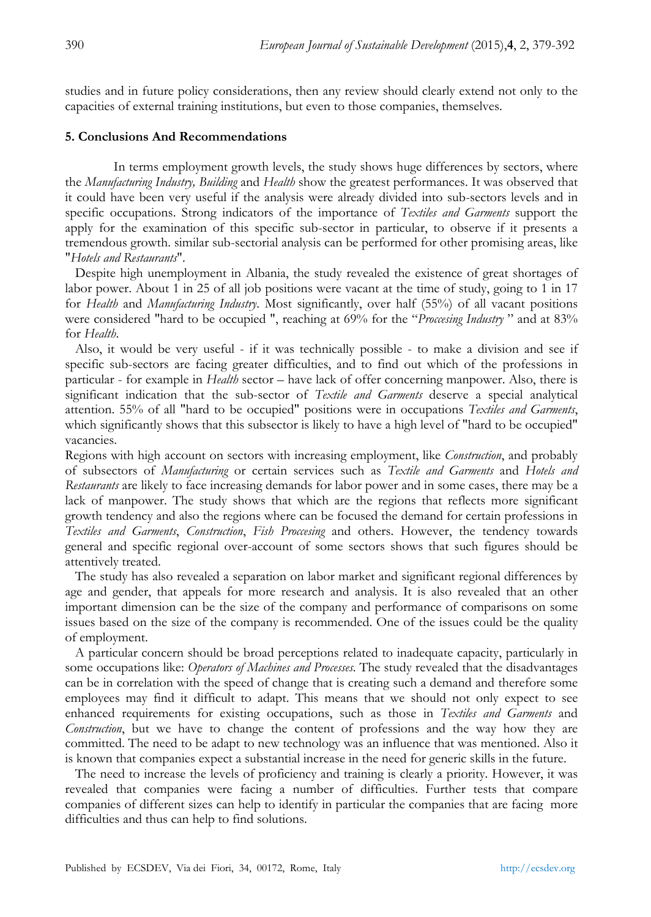studies and in future policy considerations, then any review should clearly extend not only to the capacities of external training institutions, but even to those companies, themselves.

### **5. Conclusions And Recommendations**

In terms employment growth levels, the study shows huge differences by sectors, where the *Manufacturing Industry, Building* and *Health* show the greatest performances. It was observed that it could have been very useful if the analysis were already divided into sub-sectors levels and in specific occupations. Strong indicators of the importance of *Textiles and Garments* support the apply for the examination of this specific sub-sector in particular, to observe if it presents a tremendous growth. similar sub-sectorial analysis can be performed for other promising areas, like "*Hotels and Restaurants*".

 Despite high unemployment in Albania, the study revealed the existence of great shortages of labor power. About 1 in 25 of all job positions were vacant at the time of study, going to 1 in 17 for *Health* and *Manufacturing Industry*. Most significantly, over half (55%) of all vacant positions were considered "hard to be occupied ", reaching at 69% for the "*Proccesing Industry* " and at 83% for *Health*.

 Also, it would be very useful - if it was technically possible - to make a division and see if specific sub-sectors are facing greater difficulties, and to find out which of the professions in particular - for example in *Health* sector – have lack of offer concerning manpower. Also, there is significant indication that the sub-sector of *Textile and Garments* deserve a special analytical attention. 55% of all "hard to be occupied" positions were in occupations *Textiles and Garments*, which significantly shows that this subsector is likely to have a high level of "hard to be occupied" vacancies.

Regions with high account on sectors with increasing employment, like *Construction*, and probably of subsectors of *Manufacturing* or certain services such as *Textile and Garments* and *Hotels and Restaurants* are likely to face increasing demands for labor power and in some cases, there may be a lack of manpower. The study shows that which are the regions that reflects more significant growth tendency and also the regions where can be focused the demand for certain professions in *Textiles and Garments*, *Construction*, *Fish Proccesing* and others. However, the tendency towards general and specific regional over-account of some sectors shows that such figures should be attentively treated.

 The study has also revealed a separation on labor market and significant regional differences by age and gender, that appeals for more research and analysis. It is also revealed that an other important dimension can be the size of the company and performance of comparisons on some issues based on the size of the company is recommended. One of the issues could be the quality of employment.

 A particular concern should be broad perceptions related to inadequate capacity, particularly in some occupations like: *Operators of Machines and Processes*. The study revealed that the disadvantages can be in correlation with the speed of change that is creating such a demand and therefore some employees may find it difficult to adapt. This means that we should not only expect to see enhanced requirements for existing occupations, such as those in *Textiles and Garments* and *Construction*, but we have to change the content of professions and the way how they are committed. The need to be adapt to new technology was an influence that was mentioned. Also it is known that companies expect a substantial increase in the need for generic skills in the future.

 The need to increase the levels of proficiency and training is clearly a priority. However, it was revealed that companies were facing a number of difficulties. Further tests that compare companies of different sizes can help to identify in particular the companies that are facing more difficulties and thus can help to find solutions.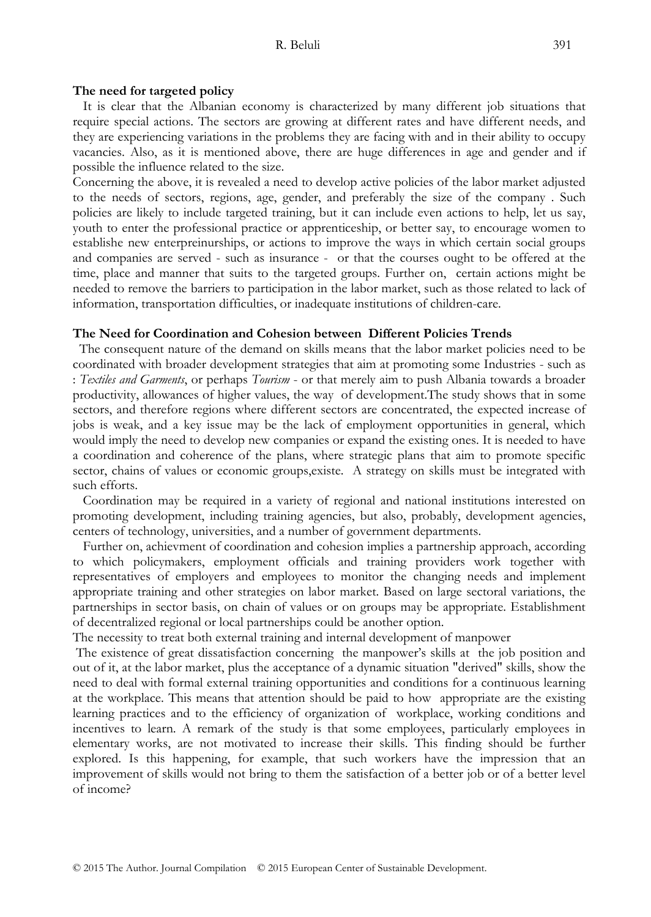#### **The need for targeted policy**

 It is clear that the Albanian economy is characterized by many different job situations that require special actions. The sectors are growing at different rates and have different needs, and they are experiencing variations in the problems they are facing with and in their ability to occupy vacancies. Also, as it is mentioned above, there are huge differences in age and gender and if possible the influence related to the size.

Concerning the above, it is revealed a need to develop active policies of the labor market adjusted to the needs of sectors, regions, age, gender, and preferably the size of the company . Such policies are likely to include targeted training, but it can include even actions to help, let us say, youth to enter the professional practice or apprenticeship, or better say, to encourage women to establishe new enterpreinurships, or actions to improve the ways in which certain social groups and companies are served - such as insurance - or that the courses ought to be offered at the time, place and manner that suits to the targeted groups. Further on, certain actions might be needed to remove the barriers to participation in the labor market, such as those related to lack of information, transportation difficulties, or inadequate institutions of children-care.

#### **The Need for Coordination and Cohesion between Different Policies Trends**

 The consequent nature of the demand on skills means that the labor market policies need to be coordinated with broader development strategies that aim at promoting some Industries - such as : *Textiles and Garments*, or perhaps *Tourism* - or that merely aim to push Albania towards a broader productivity, allowances of higher values, the way of development.The study shows that in some sectors, and therefore regions where different sectors are concentrated, the expected increase of jobs is weak, and a key issue may be the lack of employment opportunities in general, which would imply the need to develop new companies or expand the existing ones. It is needed to have a coordination and coherence of the plans, where strategic plans that aim to promote specific sector, chains of values or economic groups,existe. A strategy on skills must be integrated with such efforts.

 Coordination may be required in a variety of regional and national institutions interested on promoting development, including training agencies, but also, probably, development agencies, centers of technology, universities, and a number of government departments.

 Further on, achievment of coordination and cohesion implies a partnership approach, according to which policymakers, employment officials and training providers work together with representatives of employers and employees to monitor the changing needs and implement appropriate training and other strategies on labor market. Based on large sectoral variations, the partnerships in sector basis, on chain of values or on groups may be appropriate. Establishment of decentralized regional or local partnerships could be another option.

The necessity to treat both external training and internal development of manpower

 The existence of great dissatisfaction concerning the manpower's skills at the job position and out of it, at the labor market, plus the acceptance of a dynamic situation "derived" skills, show the need to deal with formal external training opportunities and conditions for a continuous learning at the workplace. This means that attention should be paid to how appropriate are the existing learning practices and to the efficiency of organization of workplace, working conditions and incentives to learn. A remark of the study is that some employees, particularly employees in elementary works, are not motivated to increase their skills. This finding should be further explored. Is this happening, for example, that such workers have the impression that an improvement of skills would not bring to them the satisfaction of a better job or of a better level of income?